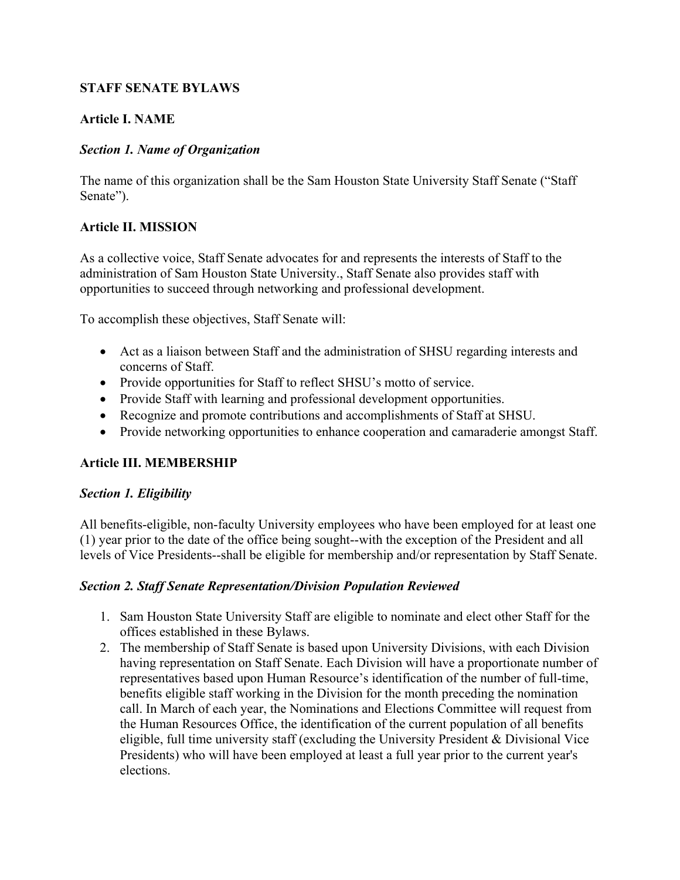## **STAFF SENATE BYLAWS**

## **Article I. NAME**

## *Section 1. Name of Organization*

The name of this organization shall be the Sam Houston State University Staff Senate ("Staff Senate").

# **Article II. MISSION**

As a collective voice, Staff Senate advocates for and represents the interests of Staff to the administration of Sam Houston State University., Staff Senate also provides staff with opportunities to succeed through networking and professional development.

To accomplish these objectives, Staff Senate will:

- Act as a liaison between Staff and the administration of SHSU regarding interests and concerns of Staff.
- Provide opportunities for Staff to reflect SHSU's motto of service.
- Provide Staff with learning and professional development opportunities.
- Recognize and promote contributions and accomplishments of Staff at SHSU.
- Provide networking opportunities to enhance cooperation and camaraderie amongst Staff.

# **Article III. MEMBERSHIP**

## *Section 1. Eligibility*

All benefits-eligible, non-faculty University employees who have been employed for at least one (1) year prior to the date of the office being sought--with the exception of the President and all levels of Vice Presidents--shall be eligible for membership and/or representation by Staff Senate.

## *Section 2. Staff Senate Representation/Division Population Reviewed*

- 1. Sam Houston State University Staff are eligible to nominate and elect other Staff for the offices established in these Bylaws.
- 2. The membership of Staff Senate is based upon University Divisions, with each Division having representation on Staff Senate. Each Division will have a proportionate number of representatives based upon Human Resource's identification of the number of full-time, benefits eligible staff working in the Division for the month preceding the nomination call. In March of each year, the Nominations and Elections Committee will request from the Human Resources Office, the identification of the current population of all benefits eligible, full time university staff (excluding the University President & Divisional Vice Presidents) who will have been employed at least a full year prior to the current year's elections.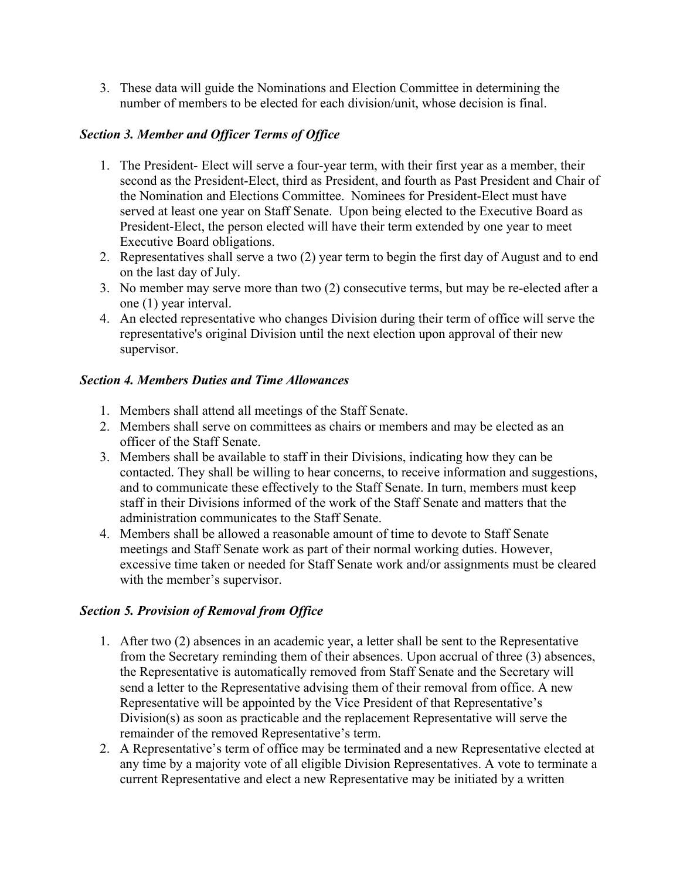3. These data will guide the Nominations and Election Committee in determining the number of members to be elected for each division/unit, whose decision is final.

## *Section 3. Member and Officer Terms of Office*

- 1. The President- Elect will serve a four-year term, with their first year as a member, their second as the President-Elect, third as President, and fourth as Past President and Chair of the Nomination and Elections Committee. Nominees for President-Elect must have served at least one year on Staff Senate. Upon being elected to the Executive Board as President-Elect, the person elected will have their term extended by one year to meet Executive Board obligations.
- 2. Representatives shall serve a two (2) year term to begin the first day of August and to end on the last day of July.
- 3. No member may serve more than two (2) consecutive terms, but may be re-elected after a one (1) year interval.
- 4. An elected representative who changes Division during their term of office will serve the representative's original Division until the next election upon approval of their new supervisor.

## *Section 4. Members Duties and Time Allowances*

- 1. Members shall attend all meetings of the Staff Senate.
- 2. Members shall serve on committees as chairs or members and may be elected as an officer of the Staff Senate.
- 3. Members shall be available to staff in their Divisions, indicating how they can be contacted. They shall be willing to hear concerns, to receive information and suggestions, and to communicate these effectively to the Staff Senate. In turn, members must keep staff in their Divisions informed of the work of the Staff Senate and matters that the administration communicates to the Staff Senate.
- 4. Members shall be allowed a reasonable amount of time to devote to Staff Senate meetings and Staff Senate work as part of their normal working duties. However, excessive time taken or needed for Staff Senate work and/or assignments must be cleared with the member's supervisor.

## *Section 5. Provision of Removal from Office*

- 1. After two (2) absences in an academic year, a letter shall be sent to the Representative from the Secretary reminding them of their absences. Upon accrual of three (3) absences, the Representative is automatically removed from Staff Senate and the Secretary will send a letter to the Representative advising them of their removal from office. A new Representative will be appointed by the Vice President of that Representative's Division(s) as soon as practicable and the replacement Representative will serve the remainder of the removed Representative's term.
- 2. A Representative's term of office may be terminated and a new Representative elected at any time by a majority vote of all eligible Division Representatives. A vote to terminate a current Representative and elect a new Representative may be initiated by a written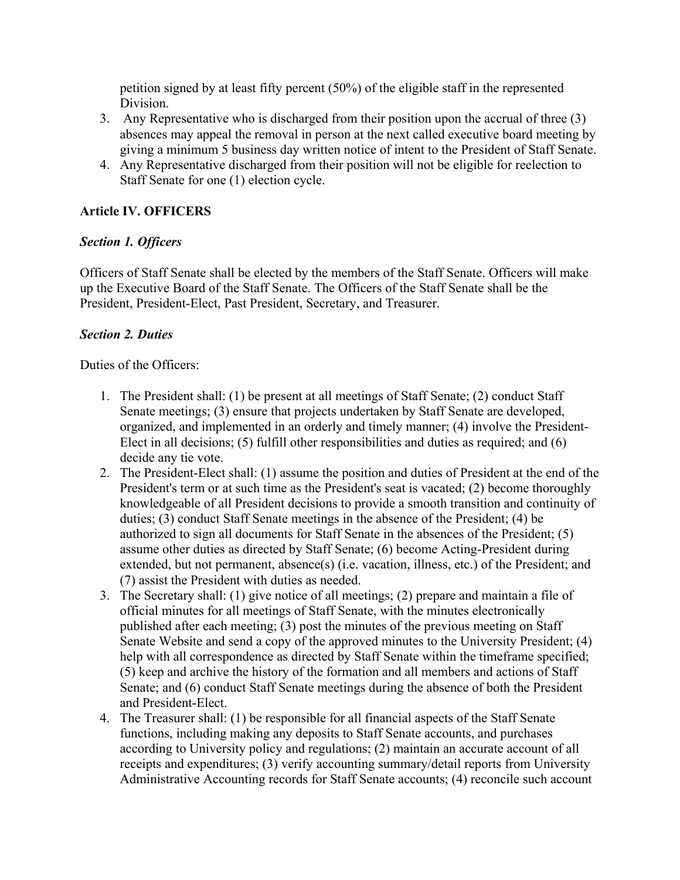petition signed by at least fifty percent (50%) of the eligible staff in the represented Division.

- 3. Any Representative who is discharged from their position upon the accrual of three (3) absences may appeal the removal in person at the next called executive board meeting by giving a minimum 5 business day written notice of intent to the President of Staff Senate.
- 4. Any Representative discharged from their position will not be eligible for reelection to Staff Senate for one (1) election cycle.

## **Article IV. OFFICERS**

## *Section 1. Officers*

Officers of Staff Senate shall be elected by the members of the Staff Senate. Officers will make up the Executive Board of the Staff Senate. The Officers of the Staff Senate shall be the President, President-Elect, Past President, Secretary, and Treasurer.

## *Section 2. Duties*

Duties of the Officers:

- 1. The President shall: (1) be present at all meetings of Staff Senate; (2) conduct Staff Senate meetings; (3) ensure that projects undertaken by Staff Senate are developed, organized, and implemented in an orderly and timely manner; (4) involve the President-Elect in all decisions; (5) fulfill other responsibilities and duties as required; and (6) decide any tie vote.
- 2. The President-Elect shall: (1) assume the position and duties of President at the end of the President's term or at such time as the President's seat is vacated; (2) become thoroughly knowledgeable of all President decisions to provide a smooth transition and continuity of duties; (3) conduct Staff Senate meetings in the absence of the President; (4) be authorized to sign all documents for Staff Senate in the absences of the President; (5) assume other duties as directed by Staff Senate; (6) become Acting-President during extended, but not permanent, absence(s) (i.e. vacation, illness, etc.) of the President; and (7) assist the President with duties as needed.
- 3. The Secretary shall: (1) give notice of all meetings; (2) prepare and maintain a file of official minutes for all meetings of Staff Senate, with the minutes electronically published after each meeting; (3) post the minutes of the previous meeting on Staff Senate Website and send a copy of the approved minutes to the University President; (4) help with all correspondence as directed by Staff Senate within the timeframe specified; (5) keep and archive the history of the formation and all members and actions of Staff Senate; and (6) conduct Staff Senate meetings during the absence of both the President and President-Elect.
- 4. The Treasurer shall: (1) be responsible for all financial aspects of the Staff Senate functions, including making any deposits to Staff Senate accounts, and purchases according to University policy and regulations; (2) maintain an accurate account of all receipts and expenditures; (3) verify accounting summary/detail reports from University Administrative Accounting records for Staff Senate accounts; (4) reconcile such account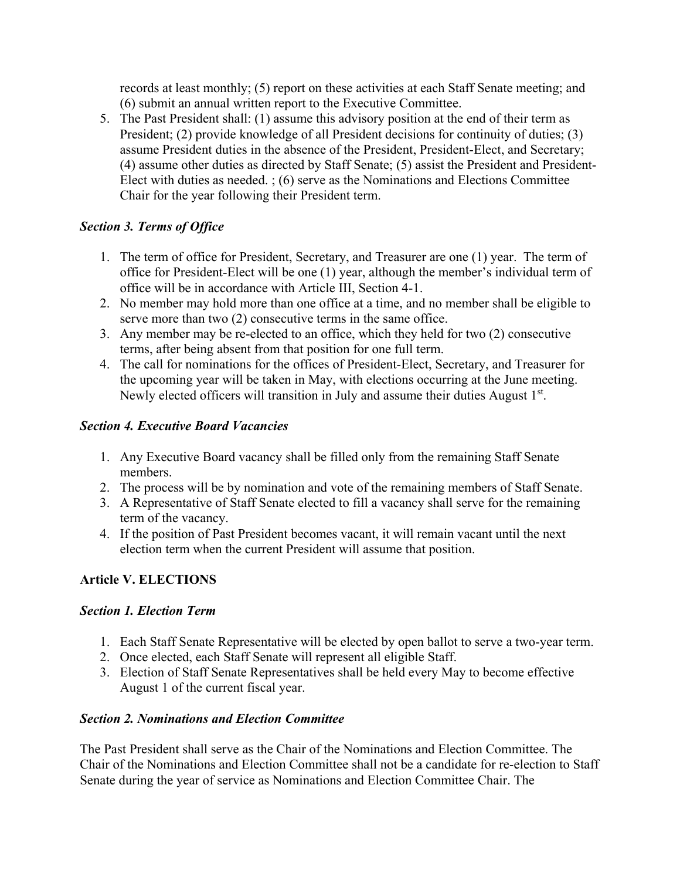records at least monthly; (5) report on these activities at each Staff Senate meeting; and (6) submit an annual written report to the Executive Committee.

5. The Past President shall: (1) assume this advisory position at the end of their term as President; (2) provide knowledge of all President decisions for continuity of duties; (3) assume President duties in the absence of the President, President-Elect, and Secretary; (4) assume other duties as directed by Staff Senate; (5) assist the President and President-Elect with duties as needed. ; (6) serve as the Nominations and Elections Committee Chair for the year following their President term.

# *Section 3. Terms of Office*

- 1. The term of office for President, Secretary, and Treasurer are one (1) year. The term of office for President-Elect will be one (1) year, although the member's individual term of office will be in accordance with Article III, Section 4-1.
- 2. No member may hold more than one office at a time, and no member shall be eligible to serve more than two (2) consecutive terms in the same office.
- 3. Any member may be re-elected to an office, which they held for two (2) consecutive terms, after being absent from that position for one full term.
- 4. The call for nominations for the offices of President-Elect, Secretary, and Treasurer for the upcoming year will be taken in May, with elections occurring at the June meeting. Newly elected officers will transition in July and assume their duties August 1<sup>st</sup>.

## *Section 4. Executive Board Vacancies*

- 1. Any Executive Board vacancy shall be filled only from the remaining Staff Senate members.
- 2. The process will be by nomination and vote of the remaining members of Staff Senate.
- 3. A Representative of Staff Senate elected to fill a vacancy shall serve for the remaining term of the vacancy.
- 4. If the position of Past President becomes vacant, it will remain vacant until the next election term when the current President will assume that position.

# **Article V. ELECTIONS**

## *Section 1. Election Term*

- 1. Each Staff Senate Representative will be elected by open ballot to serve a two-year term.
- 2. Once elected, each Staff Senate will represent all eligible Staff.
- 3. Election of Staff Senate Representatives shall be held every May to become effective August 1 of the current fiscal year.

## *Section 2. Nominations and Election Committee*

The Past President shall serve as the Chair of the Nominations and Election Committee. The Chair of the Nominations and Election Committee shall not be a candidate for re-election to Staff Senate during the year of service as Nominations and Election Committee Chair. The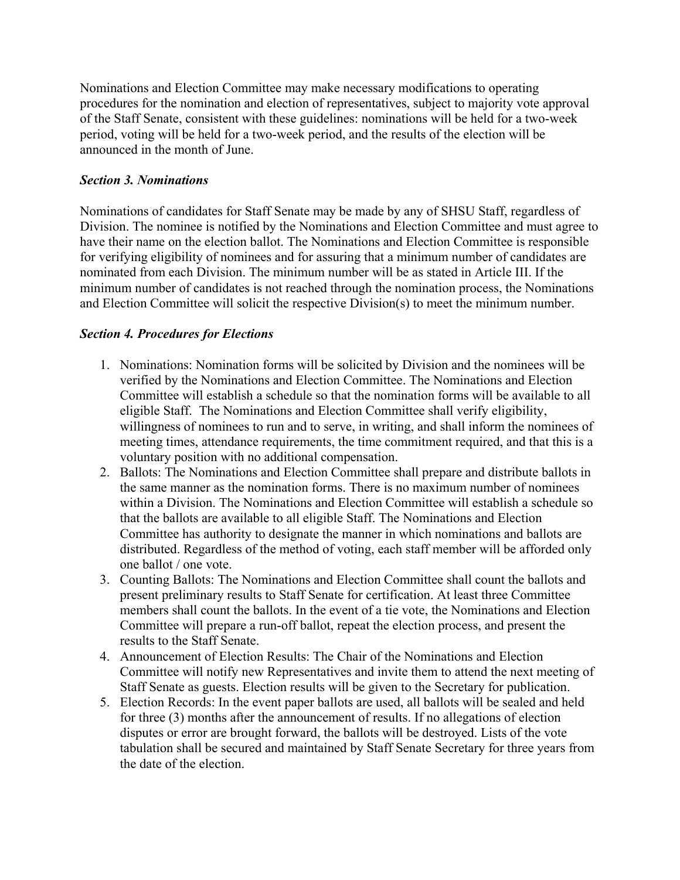Nominations and Election Committee may make necessary modifications to operating procedures for the nomination and election of representatives, subject to majority vote approval of the Staff Senate, consistent with these guidelines: nominations will be held for a two-week period, voting will be held for a two-week period, and the results of the election will be announced in the month of June.

## *Section 3. Nominations*

Nominations of candidates for Staff Senate may be made by any of SHSU Staff, regardless of Division. The nominee is notified by the Nominations and Election Committee and must agree to have their name on the election ballot. The Nominations and Election Committee is responsible for verifying eligibility of nominees and for assuring that a minimum number of candidates are nominated from each Division. The minimum number will be as stated in Article III. If the minimum number of candidates is not reached through the nomination process, the Nominations and Election Committee will solicit the respective Division(s) to meet the minimum number.

# *Section 4. Procedures for Elections*

- 1. Nominations: Nomination forms will be solicited by Division and the nominees will be verified by the Nominations and Election Committee. The Nominations and Election Committee will establish a schedule so that the nomination forms will be available to all eligible Staff. The Nominations and Election Committee shall verify eligibility, willingness of nominees to run and to serve, in writing, and shall inform the nominees of meeting times, attendance requirements, the time commitment required, and that this is a voluntary position with no additional compensation.
- 2. Ballots: The Nominations and Election Committee shall prepare and distribute ballots in the same manner as the nomination forms. There is no maximum number of nominees within a Division. The Nominations and Election Committee will establish a schedule so that the ballots are available to all eligible Staff. The Nominations and Election Committee has authority to designate the manner in which nominations and ballots are distributed. Regardless of the method of voting, each staff member will be afforded only one ballot / one vote.
- 3. Counting Ballots: The Nominations and Election Committee shall count the ballots and present preliminary results to Staff Senate for certification. At least three Committee members shall count the ballots. In the event of a tie vote, the Nominations and Election Committee will prepare a run-off ballot, repeat the election process, and present the results to the Staff Senate.
- 4. Announcement of Election Results: The Chair of the Nominations and Election Committee will notify new Representatives and invite them to attend the next meeting of Staff Senate as guests. Election results will be given to the Secretary for publication.
- 5. Election Records: In the event paper ballots are used, all ballots will be sealed and held for three (3) months after the announcement of results. If no allegations of election disputes or error are brought forward, the ballots will be destroyed. Lists of the vote tabulation shall be secured and maintained by Staff Senate Secretary for three years from the date of the election.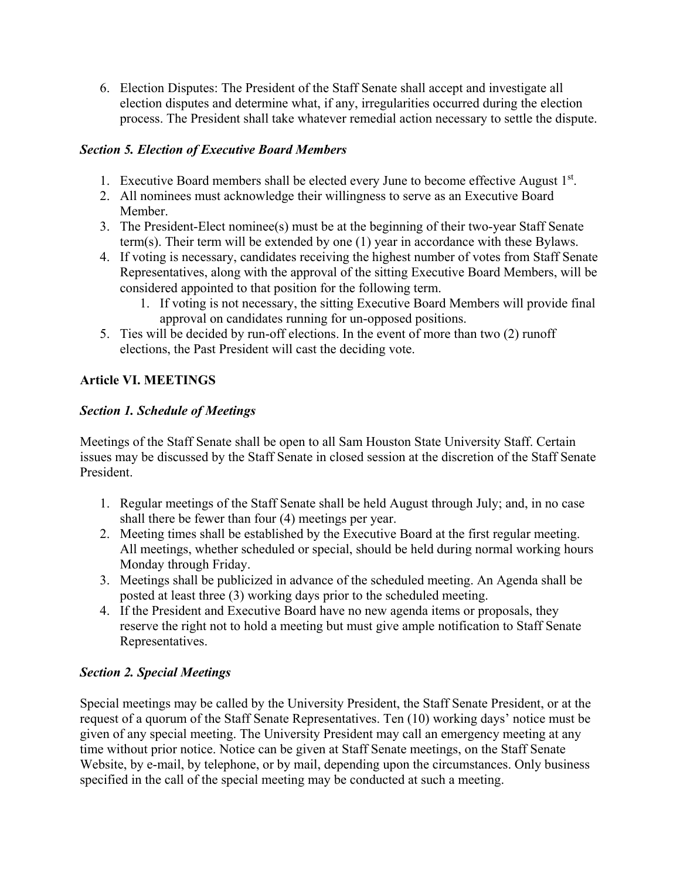6. Election Disputes: The President of the Staff Senate shall accept and investigate all election disputes and determine what, if any, irregularities occurred during the election process. The President shall take whatever remedial action necessary to settle the dispute.

## *Section 5. Election of Executive Board Members*

- 1. Executive Board members shall be elected every June to become effective August 1st.
- 2. All nominees must acknowledge their willingness to serve as an Executive Board Member.
- 3. The President-Elect nominee(s) must be at the beginning of their two-year Staff Senate term(s). Their term will be extended by one (1) year in accordance with these Bylaws.
- 4. If voting is necessary, candidates receiving the highest number of votes from Staff Senate Representatives, along with the approval of the sitting Executive Board Members, will be considered appointed to that position for the following term.
	- 1. If voting is not necessary, the sitting Executive Board Members will provide final approval on candidates running for un-opposed positions.
- 5. Ties will be decided by run-off elections. In the event of more than two (2) runoff elections, the Past President will cast the deciding vote.

# **Article VI. MEETINGS**

# *Section 1. Schedule of Meetings*

Meetings of the Staff Senate shall be open to all Sam Houston State University Staff. Certain issues may be discussed by the Staff Senate in closed session at the discretion of the Staff Senate President.

- 1. Regular meetings of the Staff Senate shall be held August through July; and, in no case shall there be fewer than four (4) meetings per year.
- 2. Meeting times shall be established by the Executive Board at the first regular meeting. All meetings, whether scheduled or special, should be held during normal working hours Monday through Friday.
- 3. Meetings shall be publicized in advance of the scheduled meeting. An Agenda shall be posted at least three (3) working days prior to the scheduled meeting.
- 4. If the President and Executive Board have no new agenda items or proposals, they reserve the right not to hold a meeting but must give ample notification to Staff Senate Representatives.

# *Section 2. Special Meetings*

Special meetings may be called by the University President, the Staff Senate President, or at the request of a quorum of the Staff Senate Representatives. Ten (10) working days' notice must be given of any special meeting. The University President may call an emergency meeting at any time without prior notice. Notice can be given at Staff Senate meetings, on the Staff Senate Website, by e-mail, by telephone, or by mail, depending upon the circumstances. Only business specified in the call of the special meeting may be conducted at such a meeting.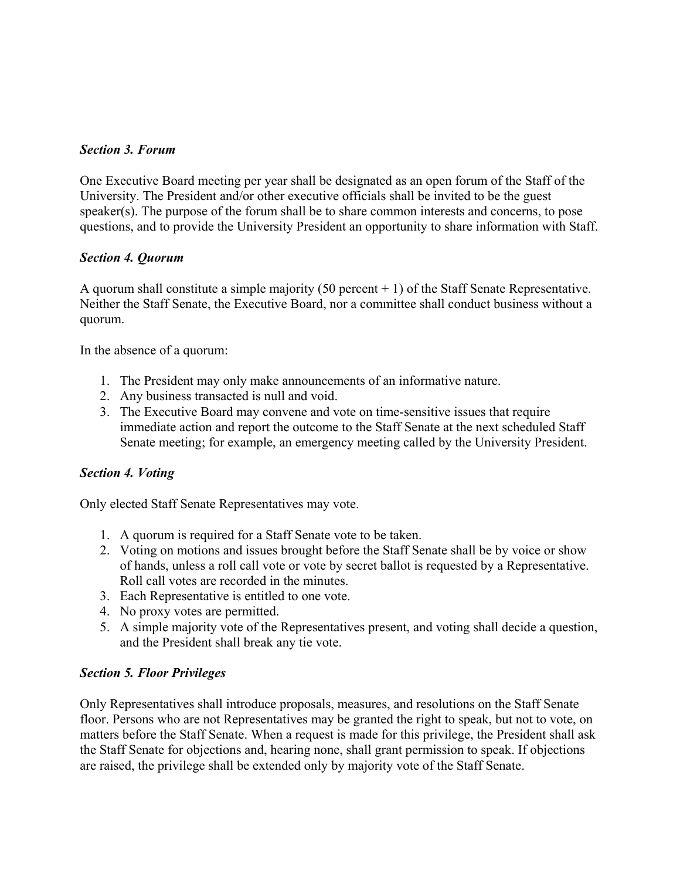## *Section 3. Forum*

One Executive Board meeting per year shall be designated as an open forum of the Staff of the University. The President and/or other executive officials shall be invited to be the guest speaker(s). The purpose of the forum shall be to share common interests and concerns, to pose questions, and to provide the University President an opportunity to share information with Staff.

## *Section 4. Quorum*

A quorum shall constitute a simple majority (50 percent  $+1$ ) of the Staff Senate Representative. Neither the Staff Senate, the Executive Board, nor a committee shall conduct business without a quorum.

In the absence of a quorum:

- 1. The President may only make announcements of an informative nature.
- 2. Any business transacted is null and void.
- 3. The Executive Board may convene and vote on time-sensitive issues that require immediate action and report the outcome to the Staff Senate at the next scheduled Staff Senate meeting; for example, an emergency meeting called by the University President.

#### *Section 4. Voting*

Only elected Staff Senate Representatives may vote.

- 1. A quorum is required for a Staff Senate vote to be taken.
- 2. Voting on motions and issues brought before the Staff Senate shall be by voice or show of hands, unless a roll call vote or vote by secret ballot is requested by a Representative. Roll call votes are recorded in the minutes.
- 3. Each Representative is entitled to one vote.
- 4. No proxy votes are permitted.
- 5. A simple majority vote of the Representatives present, and voting shall decide a question, and the President shall break any tie vote.

#### *Section 5. Floor Privileges*

Only Representatives shall introduce proposals, measures, and resolutions on the Staff Senate floor. Persons who are not Representatives may be granted the right to speak, but not to vote, on matters before the Staff Senate. When a request is made for this privilege, the President shall ask the Staff Senate for objections and, hearing none, shall grant permission to speak. If objections are raised, the privilege shall be extended only by majority vote of the Staff Senate.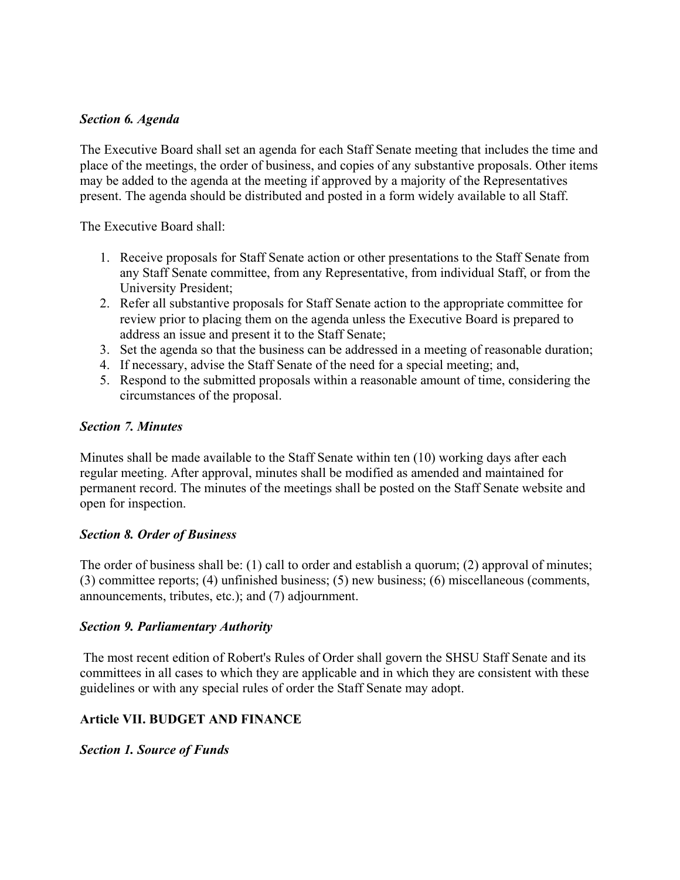#### *Section 6. Agenda*

The Executive Board shall set an agenda for each Staff Senate meeting that includes the time and place of the meetings, the order of business, and copies of any substantive proposals. Other items may be added to the agenda at the meeting if approved by a majority of the Representatives present. The agenda should be distributed and posted in a form widely available to all Staff.

The Executive Board shall:

- 1. Receive proposals for Staff Senate action or other presentations to the Staff Senate from any Staff Senate committee, from any Representative, from individual Staff, or from the University President;
- 2. Refer all substantive proposals for Staff Senate action to the appropriate committee for review prior to placing them on the agenda unless the Executive Board is prepared to address an issue and present it to the Staff Senate;
- 3. Set the agenda so that the business can be addressed in a meeting of reasonable duration;
- 4. If necessary, advise the Staff Senate of the need for a special meeting; and,
- 5. Respond to the submitted proposals within a reasonable amount of time, considering the circumstances of the proposal.

#### *Section 7. Minutes*

Minutes shall be made available to the Staff Senate within ten (10) working days after each regular meeting. After approval, minutes shall be modified as amended and maintained for permanent record. The minutes of the meetings shall be posted on the Staff Senate website and open for inspection.

#### *Section 8. Order of Business*

The order of business shall be: (1) call to order and establish a quorum; (2) approval of minutes; (3) committee reports; (4) unfinished business; (5) new business; (6) miscellaneous (comments, announcements, tributes, etc.); and (7) adjournment.

#### *Section 9. Parliamentary Authority*

 The most recent edition of Robert's Rules of Order shall govern the SHSU Staff Senate and its committees in all cases to which they are applicable and in which they are consistent with these guidelines or with any special rules of order the Staff Senate may adopt.

## **Article VII. BUDGET AND FINANCE**

*Section 1. Source of Funds*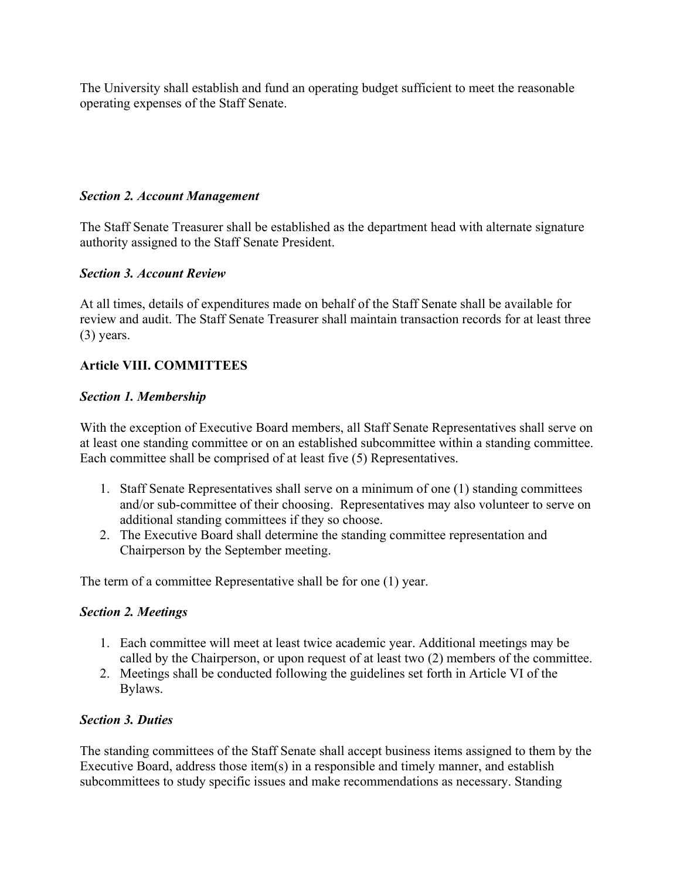The University shall establish and fund an operating budget sufficient to meet the reasonable operating expenses of the Staff Senate.

#### *Section 2. Account Management*

The Staff Senate Treasurer shall be established as the department head with alternate signature authority assigned to the Staff Senate President.

#### *Section 3. Account Review*

At all times, details of expenditures made on behalf of the Staff Senate shall be available for review and audit. The Staff Senate Treasurer shall maintain transaction records for at least three (3) years.

## **Article VIII. COMMITTEES**

#### *Section 1. Membership*

With the exception of Executive Board members, all Staff Senate Representatives shall serve on at least one standing committee or on an established subcommittee within a standing committee. Each committee shall be comprised of at least five (5) Representatives.

- 1. Staff Senate Representatives shall serve on a minimum of one (1) standing committees and/or sub-committee of their choosing. Representatives may also volunteer to serve on additional standing committees if they so choose.
- 2. The Executive Board shall determine the standing committee representation and Chairperson by the September meeting.

The term of a committee Representative shall be for one (1) year.

## *Section 2. Meetings*

- 1. Each committee will meet at least twice academic year. Additional meetings may be called by the Chairperson, or upon request of at least two (2) members of the committee.
- 2. Meetings shall be conducted following the guidelines set forth in Article VI of the Bylaws.

#### *Section 3. Duties*

The standing committees of the Staff Senate shall accept business items assigned to them by the Executive Board, address those item(s) in a responsible and timely manner, and establish subcommittees to study specific issues and make recommendations as necessary. Standing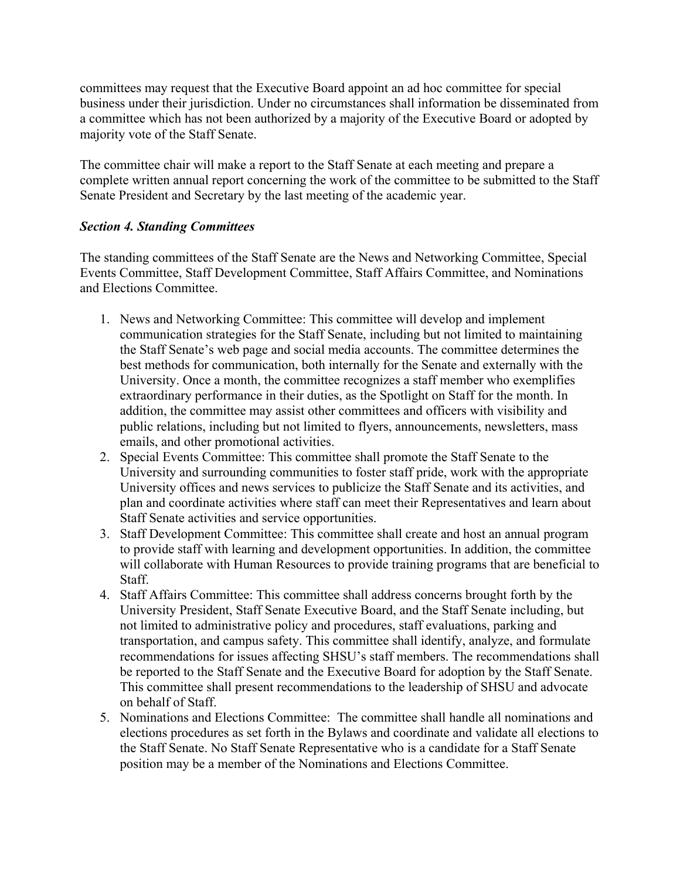committees may request that the Executive Board appoint an ad hoc committee for special business under their jurisdiction. Under no circumstances shall information be disseminated from a committee which has not been authorized by a majority of the Executive Board or adopted by majority vote of the Staff Senate.

The committee chair will make a report to the Staff Senate at each meeting and prepare a complete written annual report concerning the work of the committee to be submitted to the Staff Senate President and Secretary by the last meeting of the academic year.

#### *Section 4. Standing Committees*

The standing committees of the Staff Senate are the News and Networking Committee, Special Events Committee, Staff Development Committee, Staff Affairs Committee, and Nominations and Elections Committee.

- 1. News and Networking Committee: This committee will develop and implement communication strategies for the Staff Senate, including but not limited to maintaining the Staff Senate's web page and social media accounts. The committee determines the best methods for communication, both internally for the Senate and externally with the University. Once a month, the committee recognizes a staff member who exemplifies extraordinary performance in their duties, as the Spotlight on Staff for the month. In addition, the committee may assist other committees and officers with visibility and public relations, including but not limited to flyers, announcements, newsletters, mass emails, and other promotional activities.
- 2. Special Events Committee: This committee shall promote the Staff Senate to the University and surrounding communities to foster staff pride, work with the appropriate University offices and news services to publicize the Staff Senate and its activities, and plan and coordinate activities where staff can meet their Representatives and learn about Staff Senate activities and service opportunities.
- 3. Staff Development Committee: This committee shall create and host an annual program to provide staff with learning and development opportunities. In addition, the committee will collaborate with Human Resources to provide training programs that are beneficial to Staff.
- 4. Staff Affairs Committee: This committee shall address concerns brought forth by the University President, Staff Senate Executive Board, and the Staff Senate including, but not limited to administrative policy and procedures, staff evaluations, parking and transportation, and campus safety. This committee shall identify, analyze, and formulate recommendations for issues affecting SHSU's staff members. The recommendations shall be reported to the Staff Senate and the Executive Board for adoption by the Staff Senate. This committee shall present recommendations to the leadership of SHSU and advocate on behalf of Staff.
- 5. Nominations and Elections Committee: The committee shall handle all nominations and elections procedures as set forth in the Bylaws and coordinate and validate all elections to the Staff Senate. No Staff Senate Representative who is a candidate for a Staff Senate position may be a member of the Nominations and Elections Committee.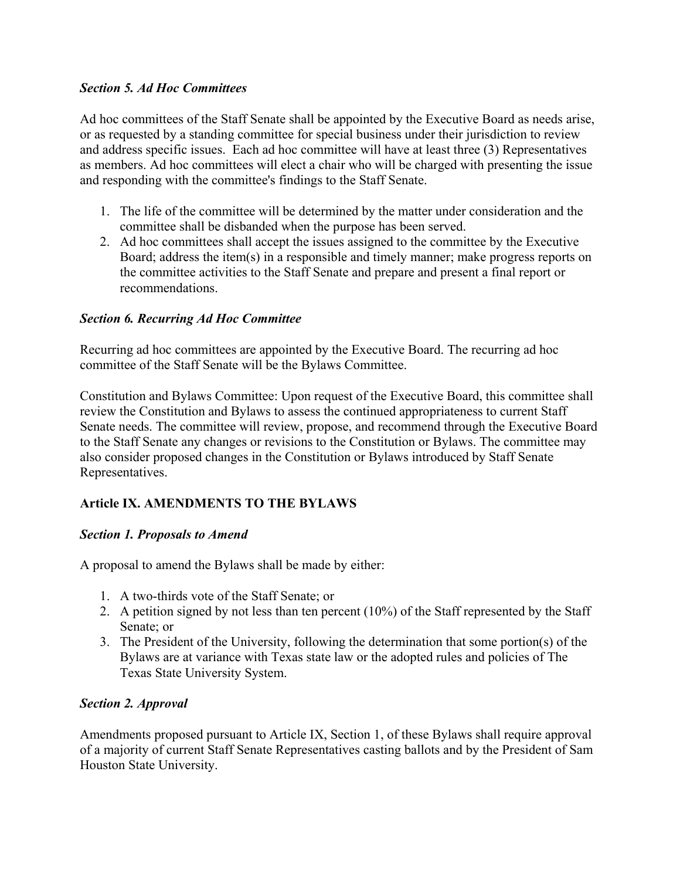#### *Section 5. Ad Hoc Committees*

Ad hoc committees of the Staff Senate shall be appointed by the Executive Board as needs arise, or as requested by a standing committee for special business under their jurisdiction to review and address specific issues. Each ad hoc committee will have at least three (3) Representatives as members. Ad hoc committees will elect a chair who will be charged with presenting the issue and responding with the committee's findings to the Staff Senate.

- 1. The life of the committee will be determined by the matter under consideration and the committee shall be disbanded when the purpose has been served.
- 2. Ad hoc committees shall accept the issues assigned to the committee by the Executive Board; address the item(s) in a responsible and timely manner; make progress reports on the committee activities to the Staff Senate and prepare and present a final report or recommendations.

#### *Section 6. Recurring Ad Hoc Committee*

Recurring ad hoc committees are appointed by the Executive Board. The recurring ad hoc committee of the Staff Senate will be the Bylaws Committee.

Constitution and Bylaws Committee: Upon request of the Executive Board, this committee shall review the Constitution and Bylaws to assess the continued appropriateness to current Staff Senate needs. The committee will review, propose, and recommend through the Executive Board to the Staff Senate any changes or revisions to the Constitution or Bylaws. The committee may also consider proposed changes in the Constitution or Bylaws introduced by Staff Senate Representatives.

## **Article IX. AMENDMENTS TO THE BYLAWS**

## *Section 1. Proposals to Amend*

A proposal to amend the Bylaws shall be made by either:

- 1. A two-thirds vote of the Staff Senate; or
- 2. A petition signed by not less than ten percent (10%) of the Staff represented by the Staff Senate; or
- 3. The President of the University, following the determination that some portion(s) of the Bylaws are at variance with Texas state law or the adopted rules and policies of The Texas State University System.

## *Section 2. Approval*

Amendments proposed pursuant to Article IX, Section 1, of these Bylaws shall require approval of a majority of current Staff Senate Representatives casting ballots and by the President of Sam Houston State University.